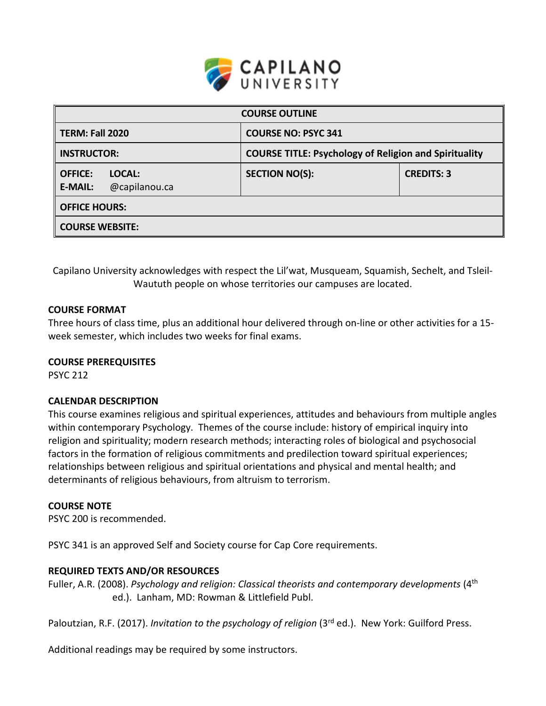

| <b>COURSE OUTLINE</b>                                       |                                                              |                   |  |  |  |
|-------------------------------------------------------------|--------------------------------------------------------------|-------------------|--|--|--|
| <b>TERM: Fall 2020</b>                                      | <b>COURSE NO: PSYC 341</b>                                   |                   |  |  |  |
| <b>INSTRUCTOR:</b>                                          | <b>COURSE TITLE: Psychology of Religion and Spirituality</b> |                   |  |  |  |
| <b>OFFICE:</b><br>LOCAL:<br>@capilanou.ca<br><b>E-MAIL:</b> | <b>SECTION NO(S):</b>                                        | <b>CREDITS: 3</b> |  |  |  |
| <b>OFFICE HOURS:</b>                                        |                                                              |                   |  |  |  |
| <b>COURSE WEBSITE:</b>                                      |                                                              |                   |  |  |  |

Capilano University acknowledges with respect the Lil'wat, Musqueam, Squamish, Sechelt, and Tsleil-Waututh people on whose territories our campuses are located.

#### **COURSE FORMAT**

Three hours of class time, plus an additional hour delivered through on-line or other activities for a 15 week semester, which includes two weeks for final exams.

#### **COURSE PREREQUISITES**

PSYC 212

#### **CALENDAR DESCRIPTION**

This course examines religious and spiritual experiences, attitudes and behaviours from multiple angles within contemporary Psychology. Themes of the course include: history of empirical inquiry into religion and spirituality; modern research methods; interacting roles of biological and psychosocial factors in the formation of religious commitments and predilection toward spiritual experiences; relationships between religious and spiritual orientations and physical and mental health; and determinants of religious behaviours, from altruism to terrorism.

#### **COURSE NOTE**

PSYC 200 is recommended.

PSYC 341 is an approved Self and Society course for Cap Core requirements.

#### **REQUIRED TEXTS AND/OR RESOURCES**

Fuller, A.R. (2008). *Psychology and religion: Classical theorists and contemporary developments* (4th ed.). Lanham, MD: Rowman & Littlefield Publ.

Paloutzian, R.F. (2017). *Invitation to the psychology of religion* (3rd ed.). New York: Guilford Press.

Additional readings may be required by some instructors.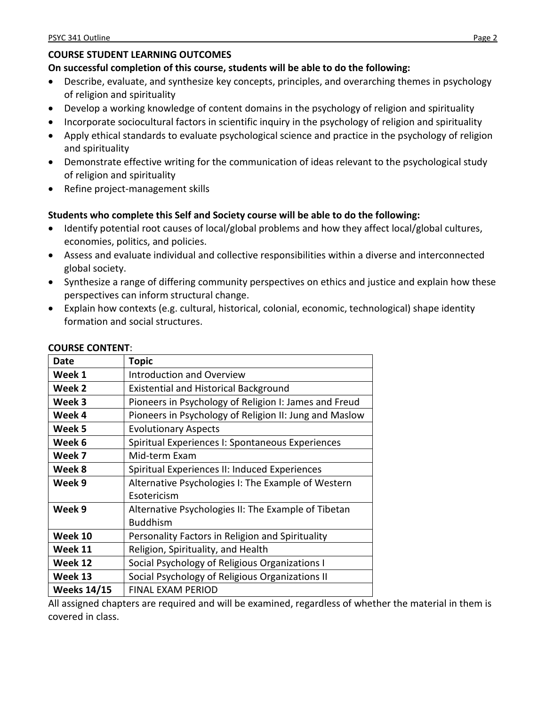# **COURSE STUDENT LEARNING OUTCOMES**

## **On successful completion of this course, students will be able to do the following:**

- Describe, evaluate, and synthesize key concepts, principles, and overarching themes in psychology of religion and spirituality
- Develop a working knowledge of content domains in the psychology of religion and spirituality
- Incorporate sociocultural factors in scientific inquiry in the psychology of religion and spirituality
- Apply ethical standards to evaluate psychological science and practice in the psychology of religion and spirituality
- Demonstrate effective writing for the communication of ideas relevant to the psychological study of religion and spirituality
- Refine project-management skills

# **Students who complete this Self and Society course will be able to do the following:**

- Identify potential root causes of local/global problems and how they affect local/global cultures, economies, politics, and policies.
- Assess and evaluate individual and collective responsibilities within a diverse and interconnected global society.
- Synthesize a range of differing community perspectives on ethics and justice and explain how these perspectives can inform structural change.
- Explain how contexts (e.g. cultural, historical, colonial, economic, technological) shape identity formation and social structures.

| Date               | Topic                                                  |  |  |  |
|--------------------|--------------------------------------------------------|--|--|--|
| Week 1             | <b>Introduction and Overview</b>                       |  |  |  |
| Week 2             | <b>Existential and Historical Background</b>           |  |  |  |
| Week 3             | Pioneers in Psychology of Religion I: James and Freud  |  |  |  |
| Week 4             | Pioneers in Psychology of Religion II: Jung and Maslow |  |  |  |
| Week 5             | <b>Evolutionary Aspects</b>                            |  |  |  |
| Week 6             | Spiritual Experiences I: Spontaneous Experiences       |  |  |  |
| Week 7             | Mid-term Exam                                          |  |  |  |
| Week 8             | Spiritual Experiences II: Induced Experiences          |  |  |  |
| Week 9             | Alternative Psychologies I: The Example of Western     |  |  |  |
|                    | Esotericism                                            |  |  |  |
| Week 9             | Alternative Psychologies II: The Example of Tibetan    |  |  |  |
|                    | <b>Buddhism</b>                                        |  |  |  |
| Week 10            | Personality Factors in Religion and Spirituality       |  |  |  |
| Week 11            | Religion, Spirituality, and Health                     |  |  |  |
| Week 12            | Social Psychology of Religious Organizations I         |  |  |  |
| Week 13            | Social Psychology of Religious Organizations II        |  |  |  |
| <b>Weeks 14/15</b> | <b>FINAL EXAM PERIOD</b>                               |  |  |  |

#### **COURSE CONTENT**:

All assigned chapters are required and will be examined, regardless of whether the material in them is covered in class.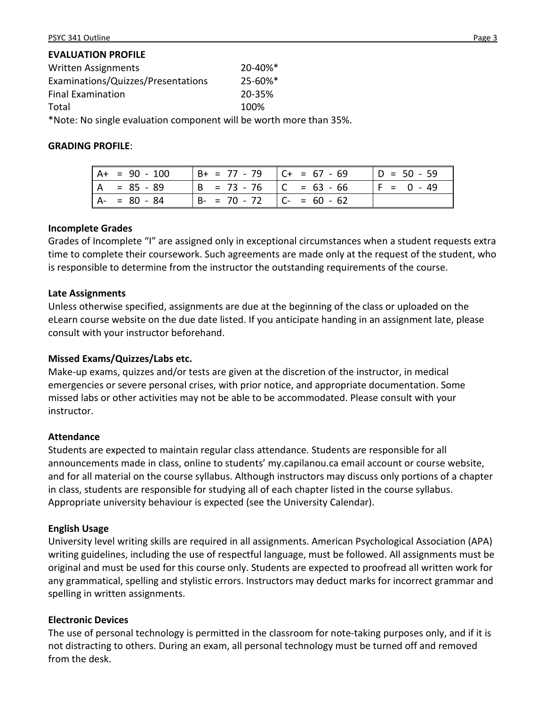# **EVALUATION PROFILE**

| <b>Written Assignments</b>         | $20 - 40\%$ <sup>*</sup> |  |
|------------------------------------|--------------------------|--|
| Examinations/Quizzes/Presentations | $25 - 60\%$ <sup>*</sup> |  |
| <b>Final Examination</b>           | 20-35%                   |  |
| Total                              | 100%                     |  |
|                                    |                          |  |

\*Note: No single evaluation component will be worth more than 35%.

# **GRADING PROFILE**:

| $A+ = 90 - 100$ | $  B+ = 77 - 79   C+ = 67 - 69$ | $ D = 50 - 59 $ |
|-----------------|---------------------------------|-----------------|
| $A = 85 - 89$   | $ B = 73 - 76 $ $ C = 63 - 66$  | $IF = 0 - 49$   |
| $A - = 80 - 84$ | $ B - 70 - 72 $ $ C - 60 - 62$  |                 |

## **Incomplete Grades**

Grades of Incomplete "I" are assigned only in exceptional circumstances when a student requests extra time to complete their coursework. Such agreements are made only at the request of the student, who is responsible to determine from the instructor the outstanding requirements of the course.

# **Late Assignments**

Unless otherwise specified, assignments are due at the beginning of the class or uploaded on the eLearn course website on the due date listed. If you anticipate handing in an assignment late, please consult with your instructor beforehand.

# **Missed Exams/Quizzes/Labs etc.**

Make-up exams, quizzes and/or tests are given at the discretion of the instructor, in medical emergencies or severe personal crises, with prior notice, and appropriate documentation. Some missed labs or other activities may not be able to be accommodated. Please consult with your instructor.

### **Attendance**

Students are expected to maintain regular class attendance. Students are responsible for all announcements made in class, online to students' my.capilanou.ca email account or course website, and for all material on the course syllabus. Although instructors may discuss only portions of a chapter in class, students are responsible for studying all of each chapter listed in the course syllabus. Appropriate university behaviour is expected (see the University Calendar).

# **English Usage**

University level writing skills are required in all assignments. American Psychological Association (APA) writing guidelines, including the use of respectful language, must be followed. All assignments must be original and must be used for this course only. Students are expected to proofread all written work for any grammatical, spelling and stylistic errors. Instructors may deduct marks for incorrect grammar and spelling in written assignments.

### **Electronic Devices**

The use of personal technology is permitted in the classroom for note-taking purposes only, and if it is not distracting to others. During an exam, all personal technology must be turned off and removed from the desk.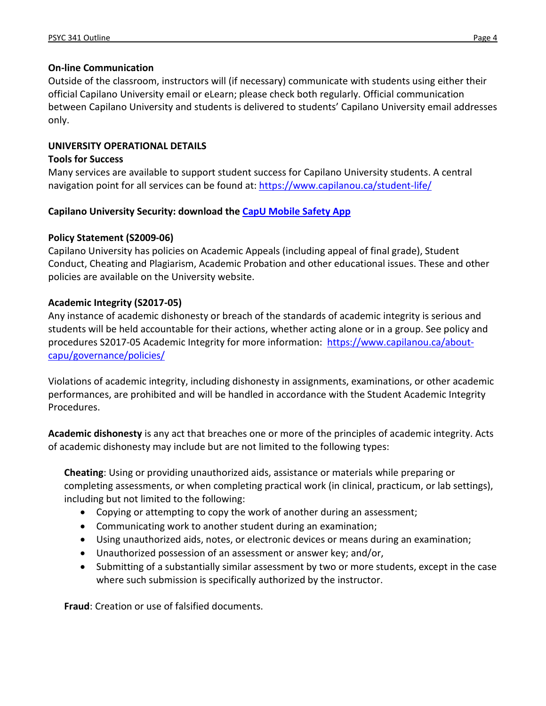### **On-line Communication**

Outside of the classroom, instructors will (if necessary) communicate with students using either their official Capilano University email or eLearn; please check both regularly. Official communication between Capilano University and students is delivered to students' Capilano University email addresses only.

## **UNIVERSITY OPERATIONAL DETAILS**

### **Tools for Success**

Many services are available to support student success for Capilano University students. A central navigation point for all services can be found at:<https://www.capilanou.ca/student-life/>

## **Capilano University Security: download the [CapU Mobile Safety App](https://www.capilanou.ca/student-life/support--wellness/safety--security/capu-safe-app/)**

## **Policy Statement (S2009-06)**

Capilano University has policies on Academic Appeals (including appeal of final grade), Student Conduct, Cheating and Plagiarism, Academic Probation and other educational issues. These and other policies are available on the University website.

## **Academic Integrity (S2017-05)**

Any instance of academic dishonesty or breach of the standards of academic integrity is serious and students will be held accountable for their actions, whether acting alone or in a group. See policy and procedures S2017-05 Academic Integrity for more information: [https://www.capilanou.ca/about](https://www.capilanou.ca/about-capu/governance/policies/)[capu/governance/policies/](https://www.capilanou.ca/about-capu/governance/policies/)

Violations of academic integrity, including dishonesty in assignments, examinations, or other academic performances, are prohibited and will be handled in accordance with the Student Academic Integrity Procedures.

**Academic dishonesty** is any act that breaches one or more of the principles of academic integrity. Acts of academic dishonesty may include but are not limited to the following types:

**Cheating**: Using or providing unauthorized aids, assistance or materials while preparing or completing assessments, or when completing practical work (in clinical, practicum, or lab settings), including but not limited to the following:

- Copying or attempting to copy the work of another during an assessment;
- Communicating work to another student during an examination;
- Using unauthorized aids, notes, or electronic devices or means during an examination;
- Unauthorized possession of an assessment or answer key; and/or,
- Submitting of a substantially similar assessment by two or more students, except in the case where such submission is specifically authorized by the instructor.

**Fraud**: Creation or use of falsified documents.